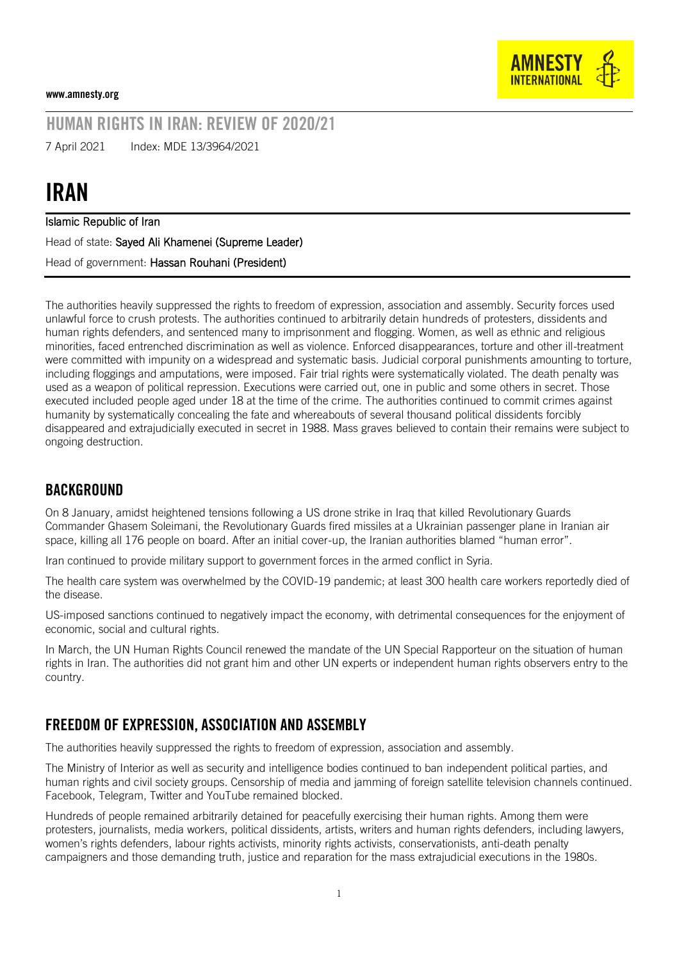

## HUMAN RIGHTS IN IRAN: REVIEW OF 2020/21

7 April 2021 Index: MDE 13/3964/2021

# IRAN

Islamic Republic of Iran

Head of state: Sayed Ali Khamenei (Supreme Leader)

Head of government: Hassan Rouhani (President)

The authorities heavily suppressed the rights to freedom of expression, association and assembly. Security forces used unlawful force to crush protests. The authorities continued to arbitrarily detain hundreds of protesters, dissidents and human rights defenders, and sentenced many to imprisonment and flogging. Women, as well as ethnic and religious minorities, faced entrenched discrimination as well as violence. Enforced disappearances, torture and other ill-treatment were committed with impunity on a widespread and systematic basis. Judicial corporal punishments amounting to torture, including floggings and amputations, were imposed. Fair trial rights were systematically violated. The death penalty was used as a weapon of political repression. Executions were carried out, one in public and some others in secret. Those executed included people aged under 18 at the time of the crime. The authorities continued to commit crimes against humanity by systematically concealing the fate and whereabouts of several thousand political dissidents forcibly disappeared and extrajudicially executed in secret in 1988. Mass graves believed to contain their remains were subject to ongoing destruction.

#### **BACKGROUND**

On 8 January, amidst heightened tensions following a US drone strike in Iraq that killed Revolutionary Guards Commander Ghasem Soleimani, the Revolutionary Guards fired missiles at a Ukrainian passenger plane in Iranian air space, killing all 176 people on board. After an initial cover-up, the Iranian authorities blamed "human error".

Iran continued to provide military support to government forces in the armed conflict in Syria.

The health care system was overwhelmed by the COVID-19 pandemic; at least 300 health care workers reportedly died of the disease.

US-imposed sanctions continued to negatively impact the economy, with detrimental consequences for the enjoyment of economic, social and cultural rights.

In March, the UN Human Rights Council renewed the mandate of the UN Special Rapporteur on the situation of human rights in Iran. The authorities did not grant him and other UN experts or independent human rights observers entry to the country.

#### FREEDOM OF EXPRESSION, ASSOCIATION AND ASSEMBLY

The authorities heavily suppressed the rights to freedom of expression, association and assembly.

The Ministry of Interior as well as security and intelligence bodies continued to ban independent political parties, and human rights and civil society groups. Censorship of media and jamming of foreign satellite television channels continued. Facebook, Telegram, Twitter and YouTube remained blocked.

Hundreds of people remained arbitrarily detained for peacefully exercising their human rights. Among them were protesters, journalists, media workers, political dissidents, artists, writers and human rights defenders, including lawyers, women's rights defenders, labour rights activists, minority rights activists, conservationists, anti-death penalty campaigners and those demanding truth, justice and reparation for the mass extrajudicial executions in the 1980s.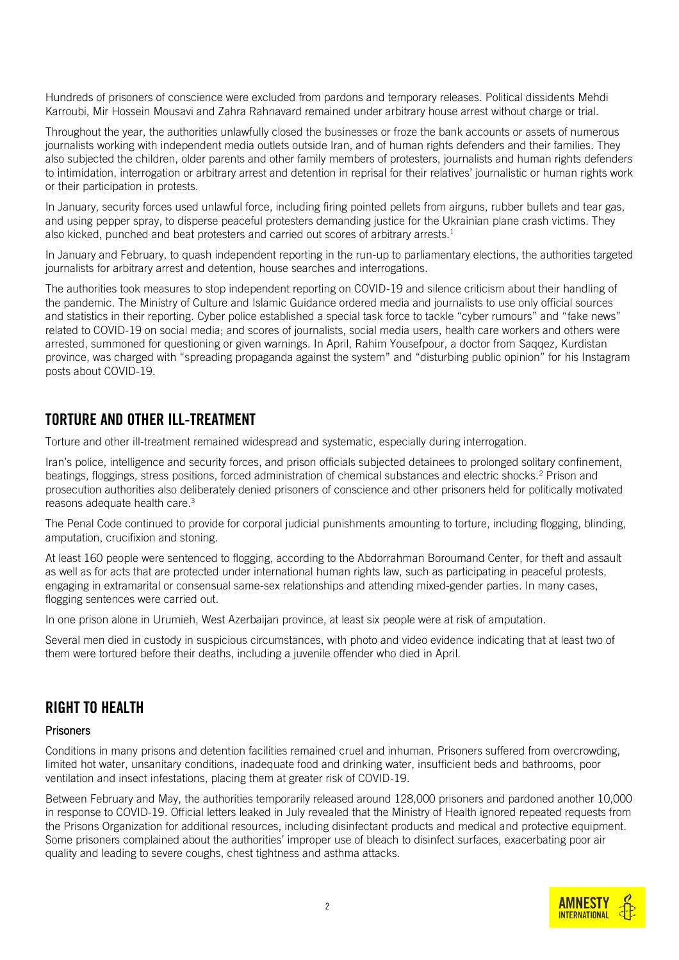Hundreds of prisoners of conscience were excluded from pardons and temporary releases. Political dissidents Mehdi Karroubi, Mir Hossein Mousavi and Zahra Rahnavard remained under arbitrary house arrest without charge or trial.

Throughout the year, the authorities unlawfully closed the businesses or froze the bank accounts or assets of numerous journalists working with independent media outlets outside Iran, and of human rights defenders and their families. They also subjected the children, older parents and other family members of protesters, journalists and human rights defenders to intimidation, interrogation or arbitrary arrest and detention in reprisal for their relatives' journalistic or human rights work or their participation in protests.

In January, security forces used unlawful force, including firing pointed pellets from airguns, rubber bullets and tear gas, and using pepper spray, to disperse peaceful protesters demanding justice for the Ukrainian plane crash victims. They also kicked, punched and beat protesters and carried out scores of arbitrary arrests.<sup>1</sup>

In January and February, to quash independent reporting in the run-up to parliamentary elections, the authorities targeted journalists for arbitrary arrest and detention, house searches and interrogations.

The authorities took measures to stop independent reporting on COVID-19 and silence criticism about their handling of the pandemic. The Ministry of Culture and Islamic Guidance ordered media and journalists to use only official sources and statistics in their reporting. Cyber police established a special task force to tackle "cyber rumours" and "fake news" related to COVID-19 on social media; and scores of journalists, social media users, health care workers and others were arrested, summoned for questioning or given warnings. In April, Rahim Yousefpour, a doctor from Saqqez, Kurdistan province, was charged with "spreading propaganda against the system" and "disturbing public opinion" for his Instagram posts about COVID-19.

#### TORTURE AND OTHER ILL-TREATMENT

Torture and other ill-treatment remained widespread and systematic, especially during interrogation.

Iran's police, intelligence and security forces, and prison officials subjected detainees to prolonged solitary confinement, beatings, floggings, stress positions, forced administration of chemical substances and electric shocks.<sup>2</sup> Prison and prosecution authorities also deliberately denied prisoners of conscience and other prisoners held for politically motivated reasons adequate health care.<sup>3</sup>

The Penal Code continued to provide for corporal judicial punishments amounting to torture, including flogging, blinding, amputation, crucifixion and stoning.

At least 160 people were sentenced to flogging, according to the Abdorrahman Boroumand Center, for theft and assault as well as for acts that are protected under international human rights law, such as participating in peaceful protests, engaging in extramarital or consensual same-sex relationships and attending mixed-gender parties. In many cases, flogging sentences were carried out.

In one prison alone in Urumieh, West Azerbaijan province, at least six people were at risk of amputation.

Several men died in custody in suspicious circumstances, with photo and video evidence indicating that at least two of them were tortured before their deaths, including a juvenile offender who died in April.

#### RIGHT TO HEALTH

#### **Prisoners**

Conditions in many prisons and detention facilities remained cruel and inhuman. Prisoners suffered from overcrowding, limited hot water, unsanitary conditions, inadequate food and drinking water, insufficient beds and bathrooms, poor ventilation and insect infestations, placing them at greater risk of COVID-19.

Between February and May, the authorities temporarily released around 128,000 prisoners and pardoned another 10,000 in response to COVID-19. Official letters leaked in July revealed that the Ministry of Health ignored repeated requests from the Prisons Organization for additional resources, including disinfectant products and medical and protective equipment. Some prisoners complained about the authorities' improper use of bleach to disinfect surfaces, exacerbating poor air quality and leading to severe coughs, chest tightness and asthma attacks.

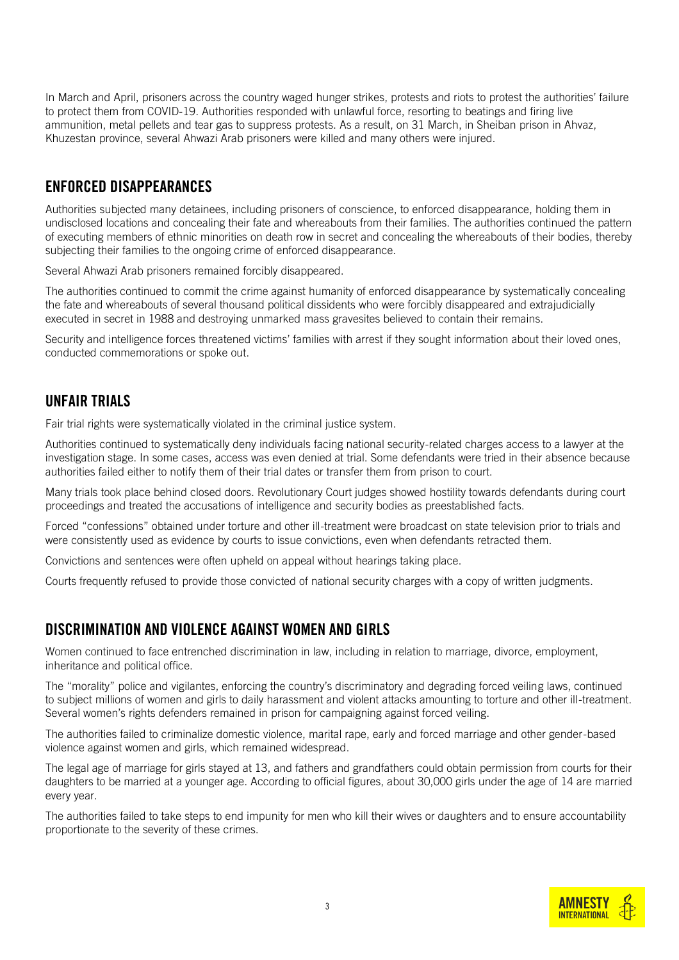In March and April, prisoners across the country waged hunger strikes, protests and riots to protest the authorities' failure to protect them from COVID-19. Authorities responded with unlawful force, resorting to beatings and firing live ammunition, metal pellets and tear gas to suppress protests. As a result, on 31 March, in Sheiban prison in Ahvaz, Khuzestan province, several Ahwazi Arab prisoners were killed and many others were injured.

#### ENFORCED DISAPPEARANCES

Authorities subjected many detainees, including prisoners of conscience, to enforced disappearance, holding them in undisclosed locations and concealing their fate and whereabouts from their families. The authorities continued the pattern of executing members of ethnic minorities on death row in secret and concealing the whereabouts of their bodies, thereby subjecting their families to the ongoing crime of enforced disappearance.

Several Ahwazi Arab prisoners remained forcibly disappeared.

The authorities continued to commit the crime against humanity of enforced disappearance by systematically concealing the fate and whereabouts of several thousand political dissidents who were forcibly disappeared and extrajudicially executed in secret in 1988 and destroying unmarked mass gravesites believed to contain their remains.

Security and intelligence forces threatened victims' families with arrest if they sought information about their loved ones, conducted commemorations or spoke out.

## UNFAIR TRIALS

Fair trial rights were systematically violated in the criminal justice system.

Authorities continued to systematically deny individuals facing national security-related charges access to a lawyer at the investigation stage. In some cases, access was even denied at trial. Some defendants were tried in their absence because authorities failed either to notify them of their trial dates or transfer them from prison to court.

Many trials took place behind closed doors. Revolutionary Court judges showed hostility towards defendants during court proceedings and treated the accusations of intelligence and security bodies as preestablished facts.

Forced "confessions" obtained under torture and other ill-treatment were broadcast on state television prior to trials and were consistently used as evidence by courts to issue convictions, even when defendants retracted them.

Convictions and sentences were often upheld on appeal without hearings taking place.

Courts frequently refused to provide those convicted of national security charges with a copy of written judgments.

#### DISCRIMINATION AND VIOLENCE AGAINST WOMEN AND GIRLS

Women continued to face entrenched discrimination in law, including in relation to marriage, divorce, employment, inheritance and political office.

The "morality" police and vigilantes, enforcing the country's discriminatory and degrading forced veiling laws, continued to subject millions of women and girls to daily harassment and violent attacks amounting to torture and other ill-treatment. Several women's rights defenders remained in prison for campaigning against forced veiling.

The authorities failed to criminalize domestic violence, marital rape, early and forced marriage and other gender-based violence against women and girls, which remained widespread.

The legal age of marriage for girls stayed at 13, and fathers and grandfathers could obtain permission from courts for their daughters to be married at a younger age. According to official figures, about 30,000 girls under the age of 14 are married every year.

The authorities failed to take steps to end impunity for men who kill their wives or daughters and to ensure accountability proportionate to the severity of these crimes.

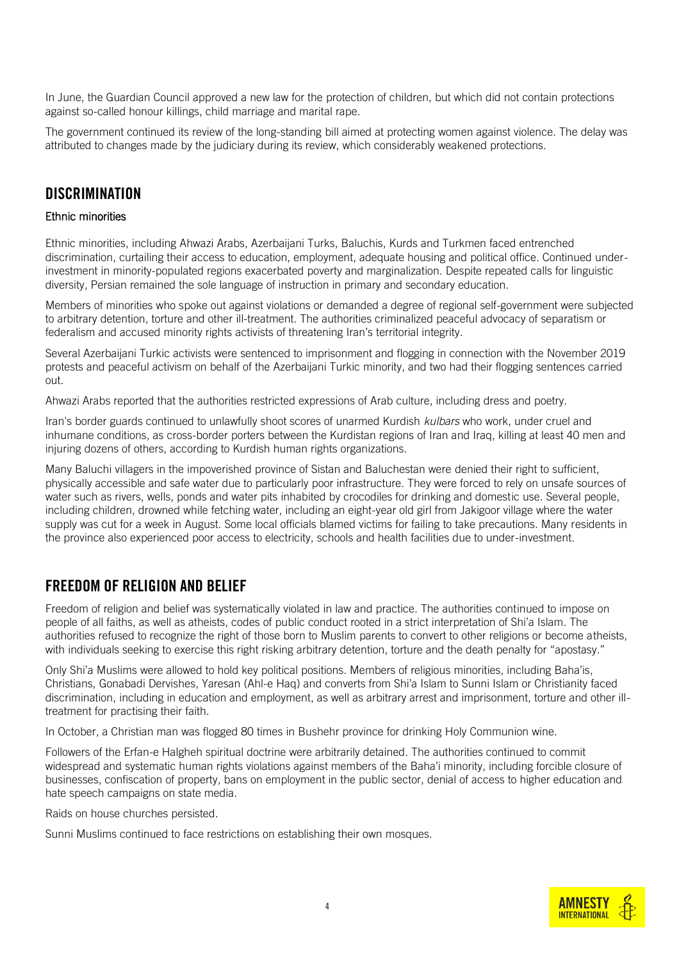In June, the Guardian Council approved a new law for the protection of children, but which did not contain protections against so-called honour killings, child marriage and marital rape.

The government continued its review of the long-standing bill aimed at protecting women against violence. The delay was attributed to changes made by the judiciary during its review, which considerably weakened protections.

#### **DISCRIMINATION**

#### Ethnic minorities

Ethnic minorities, including Ahwazi Arabs, Azerbaijani Turks, Baluchis, Kurds and Turkmen faced entrenched discrimination, curtailing their access to education, employment, adequate housing and political office. Continued underinvestment in minority-populated regions exacerbated poverty and marginalization. Despite repeated calls for linguistic diversity, Persian remained the sole language of instruction in primary and secondary education.

Members of minorities who spoke out against violations or demanded a degree of regional self-government were subjected to arbitrary detention, torture and other ill-treatment. The authorities criminalized peaceful advocacy of separatism or federalism and accused minority rights activists of threatening Iran's territorial integrity.

Several Azerbaijani Turkic activists were sentenced to imprisonment and flogging in connection with the November 2019 protests and peaceful activism on behalf of the Azerbaijani Turkic minority, and two had their flogging sentences carried out.

Ahwazi Arabs reported that the authorities restricted expressions of Arab culture, including dress and poetry.

Iran's border guards continued to unlawfully shoot scores of unarmed Kurdish *kulbars* who work, under cruel and inhumane conditions, as cross-border porters between the Kurdistan regions of Iran and Iraq, killing at least 40 men and injuring dozens of others, according to Kurdish human rights organizations.

Many Baluchi villagers in the impoverished province of Sistan and Baluchestan were denied their right to sufficient, physically accessible and safe water due to particularly poor infrastructure. They were forced to rely on unsafe sources of water such as rivers, wells, ponds and water pits inhabited by crocodiles for drinking and domestic use. Several people, including children, drowned while fetching water, including an eight-year old girl from Jakigoor village where the water supply was cut for a week in August. Some local officials blamed victims for failing to take precautions. Many residents in the province also experienced poor access to electricity, schools and health facilities due to under-investment.

#### FREEDOM OF RELIGION AND BELIEF

Freedom of religion and belief was systematically violated in law and practice. The authorities continued to impose on people of all faiths, as well as atheists, codes of public conduct rooted in a strict interpretation of Shi'a Islam. The authorities refused to recognize the right of those born to Muslim parents to convert to other religions or become atheists, with individuals seeking to exercise this right risking arbitrary detention, torture and the death penalty for "apostasy."

Only Shi'a Muslims were allowed to hold key political positions. Members of religious minorities, including Baha'is, Christians, Gonabadi Dervishes, Yaresan (Ahl-e Haq) and converts from Shi'a Islam to Sunni Islam or Christianity faced discrimination, including in education and employment, as well as arbitrary arrest and imprisonment, torture and other illtreatment for practising their faith.

In October, a Christian man was flogged 80 times in Bushehr province for drinking Holy Communion wine.

Followers of the Erfan-e Halgheh spiritual doctrine were arbitrarily detained. The authorities continued to commit widespread and systematic human rights violations against members of the Baha'i minority, including forcible closure of businesses, confiscation of property, bans on employment in the public sector, denial of access to higher education and hate speech campaigns on state media.

Raids on house churches persisted.

Sunni Muslims continued to face restrictions on establishing their own mosques.